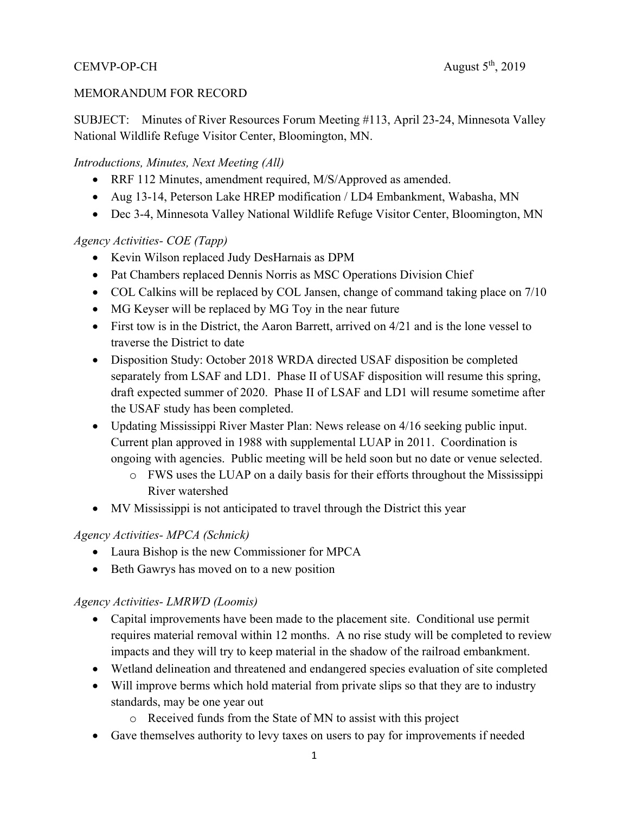# CEMVP-OP-CH  $\triangle$  August  $5^{\text{th}}$ , 2019

#### MEMORANDUM FOR RECORD

SUBJECT: Minutes of River Resources Forum Meeting #113, April 23-24, Minnesota Valley National Wildlife Refuge Visitor Center, Bloomington, MN.

#### *Introductions, Minutes, Next Meeting (All)*

- RRF 112 Minutes, amendment required, M/S/Approved as amended.
- Aug 13-14, Peterson Lake HREP modification / LD4 Embankment, Wabasha, MN
- Dec 3-4, Minnesota Valley National Wildlife Refuge Visitor Center, Bloomington, MN

#### *Agency Activities- COE (Tapp)*

- Kevin Wilson replaced Judy DesHarnais as DPM
- Pat Chambers replaced Dennis Norris as MSC Operations Division Chief
- COL Calkins will be replaced by COL Jansen, change of command taking place on  $7/10$
- MG Keyser will be replaced by MG Toy in the near future
- First tow is in the District, the Aaron Barrett, arrived on  $4/21$  and is the lone vessel to traverse the District to date
- Disposition Study: October 2018 WRDA directed USAF disposition be completed separately from LSAF and LD1. Phase II of USAF disposition will resume this spring, draft expected summer of 2020. Phase II of LSAF and LD1 will resume sometime after the USAF study has been completed.
- Updating Mississippi River Master Plan: News release on 4/16 seeking public input. Current plan approved in 1988 with supplemental LUAP in 2011. Coordination is ongoing with agencies. Public meeting will be held soon but no date or venue selected.
	- o FWS uses the LUAP on a daily basis for their efforts throughout the Mississippi River watershed
- MV Mississippi is not anticipated to travel through the District this year

### *Agency Activities- MPCA (Schnick)*

- Laura Bishop is the new Commissioner for MPCA
- Beth Gawrys has moved on to a new position

#### *Agency Activities- LMRWD (Loomis)*

- Capital improvements have been made to the placement site. Conditional use permit requires material removal within 12 months. A no rise study will be completed to review impacts and they will try to keep material in the shadow of the railroad embankment.
- Wetland delineation and threatened and endangered species evaluation of site completed
- Will improve berms which hold material from private slips so that they are to industry standards, may be one year out
	- o Received funds from the State of MN to assist with this project
- Gave themselves authority to levy taxes on users to pay for improvements if needed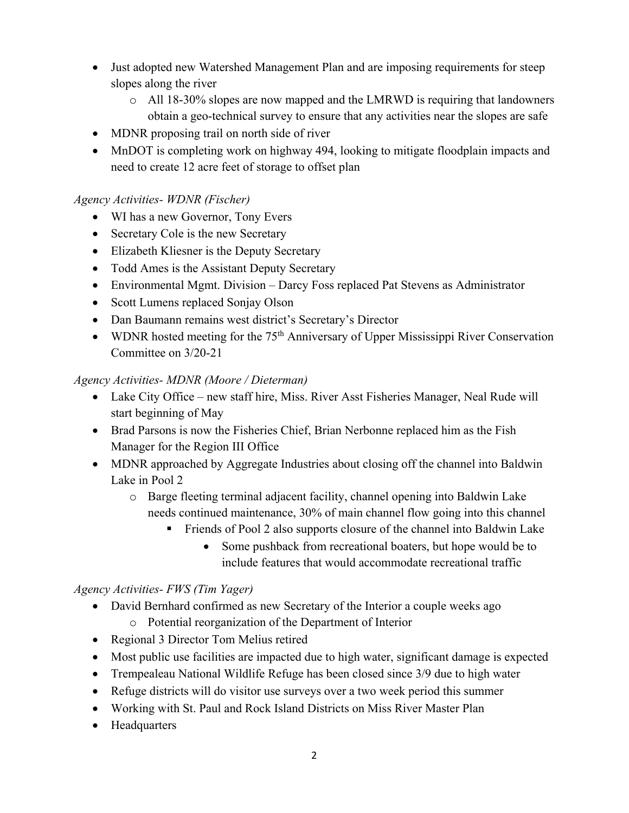- Just adopted new Watershed Management Plan and are imposing requirements for steep slopes along the river
	- $\circ$  All 18-30% slopes are now mapped and the LMRWD is requiring that landowners obtain a geo-technical survey to ensure that any activities near the slopes are safe
- MDNR proposing trail on north side of river
- MnDOT is completing work on highway 494, looking to mitigate floodplain impacts and need to create 12 acre feet of storage to offset plan

### *Agency Activities- WDNR (Fischer)*

- WI has a new Governor, Tony Evers
- Secretary Cole is the new Secretary
- Elizabeth Kliesner is the Deputy Secretary
- Todd Ames is the Assistant Deputy Secretary
- Environmental Mgmt. Division Darcy Foss replaced Pat Stevens as Administrator
- Scott Lumens replaced Sonjay Olson
- Dan Baumann remains west district's Secretary's Director
- WDNR hosted meeting for the  $75<sup>th</sup>$  Anniversary of Upper Mississippi River Conservation Committee on 3/20-21

### *Agency Activities- MDNR (Moore / Dieterman)*

- Lake City Office new staff hire, Miss. River Asst Fisheries Manager, Neal Rude will start beginning of May
- Brad Parsons is now the Fisheries Chief, Brian Nerbonne replaced him as the Fish Manager for the Region III Office
- MDNR approached by Aggregate Industries about closing off the channel into Baldwin Lake in Pool 2
	- o Barge fleeting terminal adjacent facility, channel opening into Baldwin Lake needs continued maintenance, 30% of main channel flow going into this channel
		- Friends of Pool 2 also supports closure of the channel into Baldwin Lake
			- Some pushback from recreational boaters, but hope would be to include features that would accommodate recreational traffic

## *Agency Activities- FWS (Tim Yager)*

- David Bernhard confirmed as new Secretary of the Interior a couple weeks ago
	- o Potential reorganization of the Department of Interior
- Regional 3 Director Tom Melius retired
- Most public use facilities are impacted due to high water, significant damage is expected
- Trempealeau National Wildlife Refuge has been closed since 3/9 due to high water
- Refuge districts will do visitor use surveys over a two week period this summer
- Working with St. Paul and Rock Island Districts on Miss River Master Plan
- Headquarters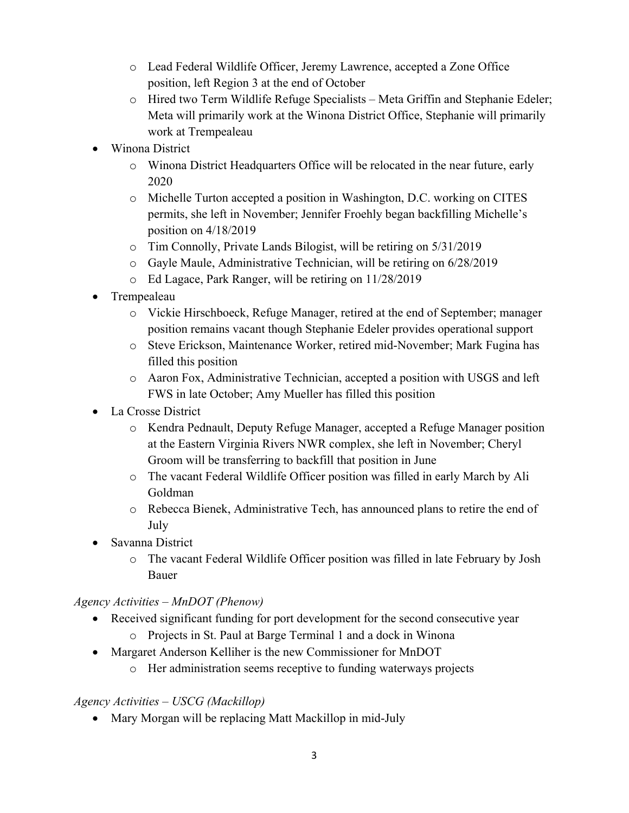- o Lead Federal Wildlife Officer, Jeremy Lawrence, accepted a Zone Office position, left Region 3 at the end of October
- o Hired two Term Wildlife Refuge Specialists Meta Griffin and Stephanie Edeler; Meta will primarily work at the Winona District Office, Stephanie will primarily work at Trempealeau
- Winona District
	- o Winona District Headquarters Office will be relocated in the near future, early 2020
	- o Michelle Turton accepted a position in Washington, D.C. working on CITES permits, she left in November; Jennifer Froehly began backfilling Michelle's position on 4/18/2019
	- o Tim Connolly, Private Lands Bilogist, will be retiring on 5/31/2019
	- o Gayle Maule, Administrative Technician, will be retiring on 6/28/2019
	- o Ed Lagace, Park Ranger, will be retiring on 11/28/2019
- Trempealeau
	- o Vickie Hirschboeck, Refuge Manager, retired at the end of September; manager position remains vacant though Stephanie Edeler provides operational support
	- o Steve Erickson, Maintenance Worker, retired mid-November; Mark Fugina has filled this position
	- o Aaron Fox, Administrative Technician, accepted a position with USGS and left FWS in late October; Amy Mueller has filled this position
- La Crosse District
	- o Kendra Pednault, Deputy Refuge Manager, accepted a Refuge Manager position at the Eastern Virginia Rivers NWR complex, she left in November; Cheryl Groom will be transferring to backfill that position in June
	- o The vacant Federal Wildlife Officer position was filled in early March by Ali Goldman
	- o Rebecca Bienek, Administrative Tech, has announced plans to retire the end of July
- Savanna District
	- o The vacant Federal Wildlife Officer position was filled in late February by Josh Bauer

### *Agency Activities – MnDOT (Phenow)*

- Received significant funding for port development for the second consecutive year
	- o Projects in St. Paul at Barge Terminal 1 and a dock in Winona
- Margaret Anderson Kelliher is the new Commissioner for MnDOT
	- o Her administration seems receptive to funding waterways projects

### *Agency Activities – USCG (Mackillop)*

• Mary Morgan will be replacing Matt Mackillop in mid-July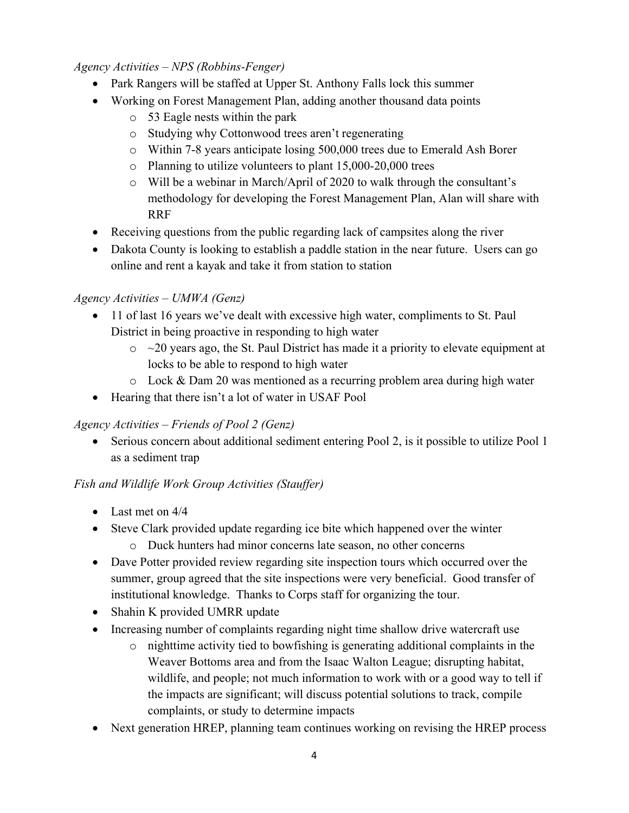### *Agency Activities – NPS (Robbins-Fenger)*

- Park Rangers will be staffed at Upper St. Anthony Falls lock this summer
- Working on Forest Management Plan, adding another thousand data points
	- o 53 Eagle nests within the park
	- o Studying why Cottonwood trees aren't regenerating
	- o Within 7-8 years anticipate losing 500,000 trees due to Emerald Ash Borer
	- o Planning to utilize volunteers to plant 15,000-20,000 trees
	- o Will be a webinar in March/April of 2020 to walk through the consultant's methodology for developing the Forest Management Plan, Alan will share with RRF
- Receiving questions from the public regarding lack of campsites along the river
- Dakota County is looking to establish a paddle station in the near future. Users can go online and rent a kayak and take it from station to station

## *Agency Activities – UMWA (Genz)*

- 11 of last 16 years we've dealt with excessive high water, compliments to St. Paul District in being proactive in responding to high water
	- $\circ$  ~20 years ago, the St. Paul District has made it a priority to elevate equipment at locks to be able to respond to high water
	- o Lock & Dam 20 was mentioned as a recurring problem area during high water
- Hearing that there isn't a lot of water in USAF Pool

## *Agency Activities – Friends of Pool 2 (Genz)*

 Serious concern about additional sediment entering Pool 2, is it possible to utilize Pool 1 as a sediment trap

## *Fish and Wildlife Work Group Activities (Stauffer)*

- Last met on  $4/4$
- Steve Clark provided update regarding ice bite which happened over the winter
	- o Duck hunters had minor concerns late season, no other concerns
- Dave Potter provided review regarding site inspection tours which occurred over the summer, group agreed that the site inspections were very beneficial. Good transfer of institutional knowledge. Thanks to Corps staff for organizing the tour.
- Shahin K provided UMRR update
- Increasing number of complaints regarding night time shallow drive watercraft use
	- o nighttime activity tied to bowfishing is generating additional complaints in the Weaver Bottoms area and from the Isaac Walton League; disrupting habitat, wildlife, and people; not much information to work with or a good way to tell if the impacts are significant; will discuss potential solutions to track, compile complaints, or study to determine impacts
- Next generation HREP, planning team continues working on revising the HREP process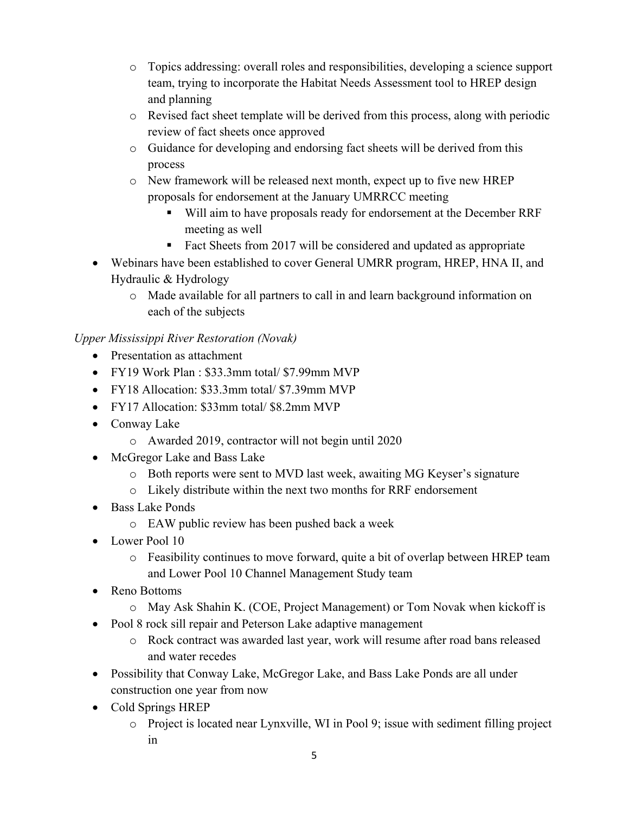- o Topics addressing: overall roles and responsibilities, developing a science support team, trying to incorporate the Habitat Needs Assessment tool to HREP design and planning
- o Revised fact sheet template will be derived from this process, along with periodic review of fact sheets once approved
- o Guidance for developing and endorsing fact sheets will be derived from this process
- o New framework will be released next month, expect up to five new HREP proposals for endorsement at the January UMRRCC meeting
	- Will aim to have proposals ready for endorsement at the December RRF meeting as well
	- Fact Sheets from 2017 will be considered and updated as appropriate
- Webinars have been established to cover General UMRR program, HREP, HNA II, and Hydraulic & Hydrology
	- o Made available for all partners to call in and learn background information on each of the subjects

## *Upper Mississippi River Restoration (Novak)*

- Presentation as attachment
- FY19 Work Plan : \$33.3mm total/ \$7.99mm MVP
- FY18 Allocation: \$33.3mm total/ \$7.39mm MVP
- FY17 Allocation: \$33mm total/ \$8.2mm MVP
- Conway Lake
	- o Awarded 2019, contractor will not begin until 2020
- McGregor Lake and Bass Lake
	- o Both reports were sent to MVD last week, awaiting MG Keyser's signature
	- o Likely distribute within the next two months for RRF endorsement
- Bass Lake Ponds
	- o EAW public review has been pushed back a week
- Lower Pool 10
	- o Feasibility continues to move forward, quite a bit of overlap between HREP team and Lower Pool 10 Channel Management Study team
- Reno Bottoms
	- o May Ask Shahin K. (COE, Project Management) or Tom Novak when kickoff is
- Pool 8 rock sill repair and Peterson Lake adaptive management
	- o Rock contract was awarded last year, work will resume after road bans released and water recedes
- Possibility that Conway Lake, McGregor Lake, and Bass Lake Ponds are all under construction one year from now
- Cold Springs HREP
	- o Project is located near Lynxville, WI in Pool 9; issue with sediment filling project in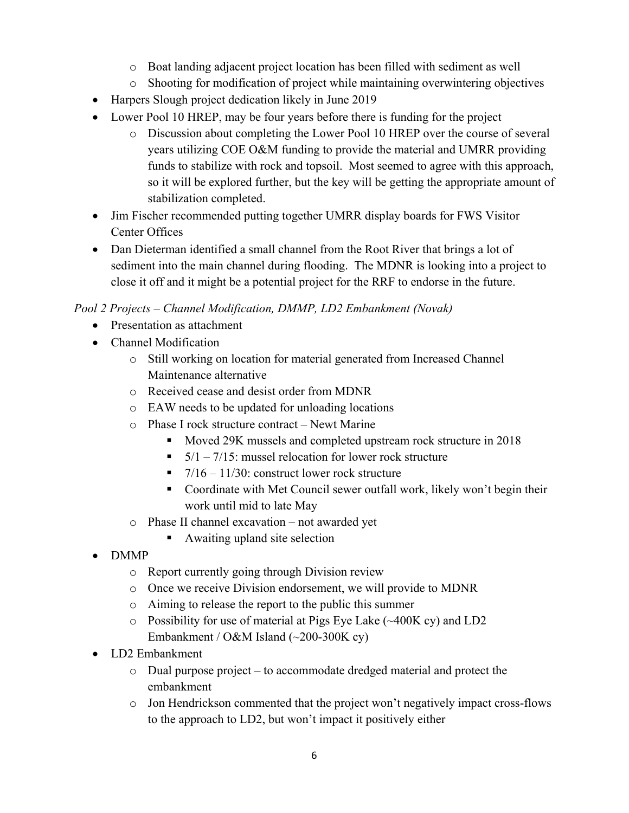- o Boat landing adjacent project location has been filled with sediment as well
- o Shooting for modification of project while maintaining overwintering objectives
- Harpers Slough project dedication likely in June 2019
- Lower Pool 10 HREP, may be four years before there is funding for the project
	- o Discussion about completing the Lower Pool 10 HREP over the course of several years utilizing COE O&M funding to provide the material and UMRR providing funds to stabilize with rock and topsoil. Most seemed to agree with this approach, so it will be explored further, but the key will be getting the appropriate amount of stabilization completed.
- Jim Fischer recommended putting together UMRR display boards for FWS Visitor Center Offices
- Dan Dieterman identified a small channel from the Root River that brings a lot of sediment into the main channel during flooding. The MDNR is looking into a project to close it off and it might be a potential project for the RRF to endorse in the future.

## *Pool 2 Projects – Channel Modification, DMMP, LD2 Embankment (Novak)*

- Presentation as attachment
- Channel Modification
	- o Still working on location for material generated from Increased Channel Maintenance alternative
	- o Received cease and desist order from MDNR
	- o EAW needs to be updated for unloading locations
	- o Phase I rock structure contract Newt Marine
		- Moved 29K mussels and completed upstream rock structure in 2018
		- $\overline{5/1} \frac{7}{15}$ : mussel relocation for lower rock structure
		- $\blacksquare$  7/16 11/30: construct lower rock structure
		- Coordinate with Met Council sewer outfall work, likely won't begin their work until mid to late May
	- o Phase II channel excavation not awarded yet
		- Awaiting upland site selection
- DMMP
	- o Report currently going through Division review
	- o Once we receive Division endorsement, we will provide to MDNR
	- o Aiming to release the report to the public this summer
	- o Possibility for use of material at Pigs Eye Lake (~400K cy) and LD2 Embankment / O&M Island (~200-300K cy)
- LD2 Embankment
	- o Dual purpose project to accommodate dredged material and protect the embankment
	- o Jon Hendrickson commented that the project won't negatively impact cross-flows to the approach to LD2, but won't impact it positively either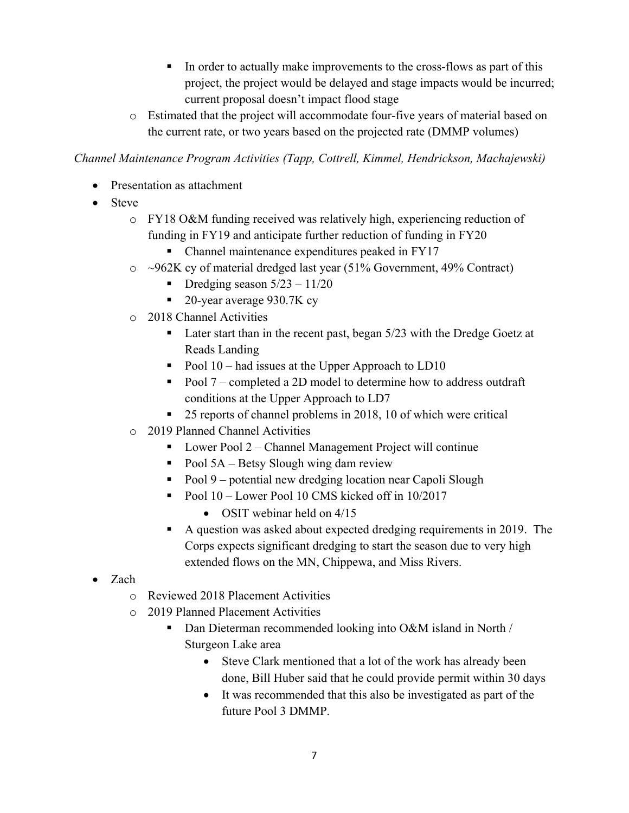- In order to actually make improvements to the cross-flows as part of this project, the project would be delayed and stage impacts would be incurred; current proposal doesn't impact flood stage
- o Estimated that the project will accommodate four-five years of material based on the current rate, or two years based on the projected rate (DMMP volumes)

*Channel Maintenance Program Activities (Tapp, Cottrell, Kimmel, Hendrickson, Machajewski)* 

- Presentation as attachment
- Steve
	- o FY18 O&M funding received was relatively high, experiencing reduction of funding in FY19 and anticipate further reduction of funding in FY20
		- Channel maintenance expenditures peaked in FY17
	- o ~962K cy of material dredged last year (51% Government, 49% Contract)
		- Dredging season  $5/23 11/20$
		- 20-year average 930.7K cy
	- o 2018 Channel Activities
		- Later start than in the recent past, began 5/23 with the Dredge Goetz at Reads Landing
		- Pool  $10$  had issues at the Upper Approach to LD10
		- Pool  $7$  completed a 2D model to determine how to address outdraft conditions at the Upper Approach to LD7
		- 25 reports of channel problems in 2018, 10 of which were critical
	- o 2019 Planned Channel Activities
		- $\blacksquare$  Lower Pool 2 Channel Management Project will continue
		- Pool  $5A B$ etsy Slough wing dam review
		- Pool 9 potential new dredging location near Capoli Slough
		- Pool  $10$  Lower Pool 10 CMS kicked off in  $10/2017$ 
			- OSIT webinar held on  $4/15$
		- A question was asked about expected dredging requirements in 2019. The Corps expects significant dredging to start the season due to very high extended flows on the MN, Chippewa, and Miss Rivers.
- Zach
	- o Reviewed 2018 Placement Activities
	- o 2019 Planned Placement Activities
		- Dan Dieterman recommended looking into O&M island in North / Sturgeon Lake area
			- Steve Clark mentioned that a lot of the work has already been done, Bill Huber said that he could provide permit within 30 days
			- It was recommended that this also be investigated as part of the future Pool 3 DMMP.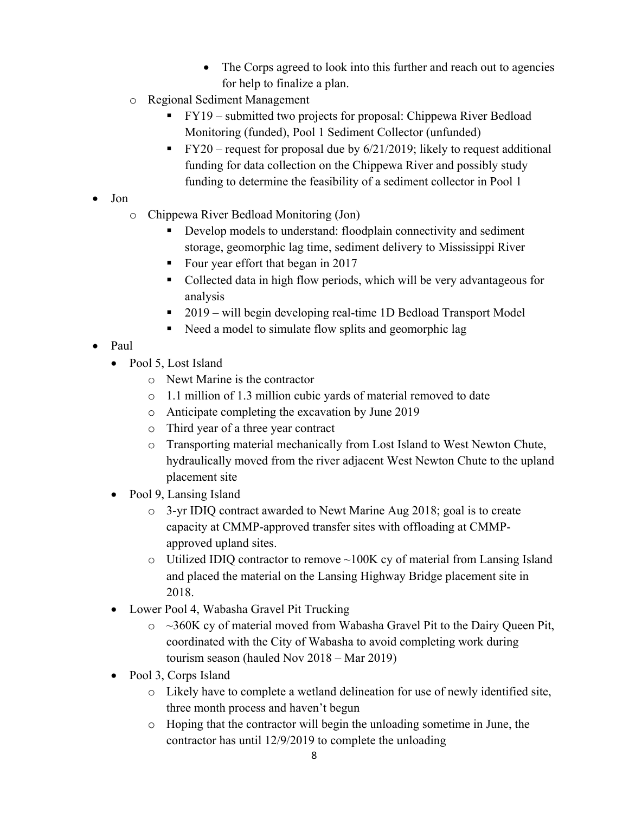- The Corps agreed to look into this further and reach out to agencies for help to finalize a plan.
- o Regional Sediment Management
	- FY19 submitted two projects for proposal: Chippewa River Bedload Monitoring (funded), Pool 1 Sediment Collector (unfunded)
	- FY20 request for proposal due by 6/21/2019; likely to request additional funding for data collection on the Chippewa River and possibly study funding to determine the feasibility of a sediment collector in Pool 1
- Jon
	- o Chippewa River Bedload Monitoring (Jon)
		- Develop models to understand: floodplain connectivity and sediment storage, geomorphic lag time, sediment delivery to Mississippi River
		- Four year effort that began in 2017
		- Collected data in high flow periods, which will be very advantageous for analysis
		- 2019 will begin developing real-time 1D Bedload Transport Model
		- Need a model to simulate flow splits and geomorphic lag
- Paul
	- Pool 5, Lost Island
		- o Newt Marine is the contractor
		- o 1.1 million of 1.3 million cubic yards of material removed to date
		- o Anticipate completing the excavation by June 2019
		- o Third year of a three year contract
		- o Transporting material mechanically from Lost Island to West Newton Chute, hydraulically moved from the river adjacent West Newton Chute to the upland placement site
	- Pool 9, Lansing Island
		- o 3-yr IDIQ contract awarded to Newt Marine Aug 2018; goal is to create capacity at CMMP-approved transfer sites with offloading at CMMPapproved upland sites.
		- $\circ$  Utilized IDIQ contractor to remove  $\sim$ 100K cy of material from Lansing Island and placed the material on the Lansing Highway Bridge placement site in 2018.
	- Lower Pool 4, Wabasha Gravel Pit Trucking
		- o ~360K cy of material moved from Wabasha Gravel Pit to the Dairy Queen Pit, coordinated with the City of Wabasha to avoid completing work during tourism season (hauled Nov 2018 – Mar 2019)
	- Pool 3, Corps Island
		- o Likely have to complete a wetland delineation for use of newly identified site, three month process and haven't begun
		- o Hoping that the contractor will begin the unloading sometime in June, the contractor has until 12/9/2019 to complete the unloading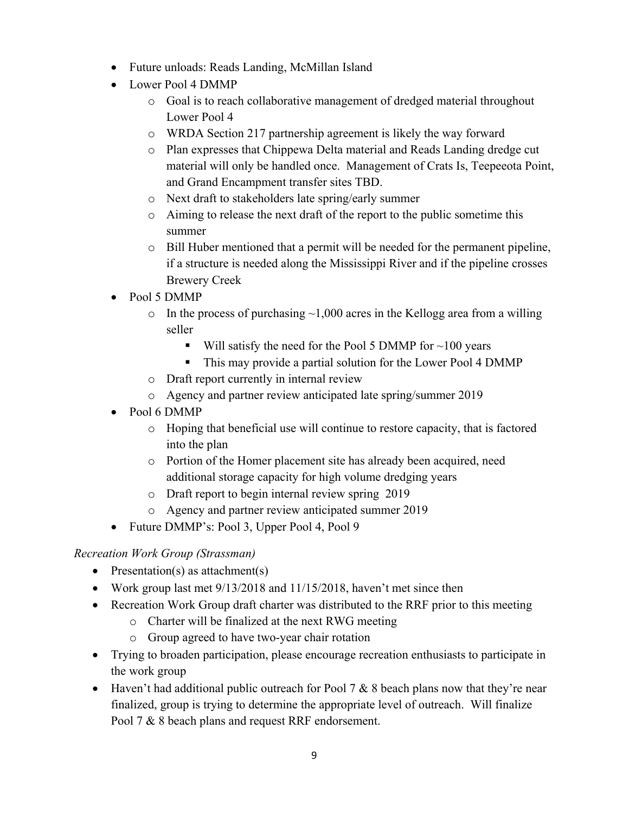- Future unloads: Reads Landing, McMillan Island
- Lower Pool 4 DMMP
	- o Goal is to reach collaborative management of dredged material throughout Lower Pool 4
	- o WRDA Section 217 partnership agreement is likely the way forward
	- o Plan expresses that Chippewa Delta material and Reads Landing dredge cut material will only be handled once. Management of Crats Is, Teepeeota Point, and Grand Encampment transfer sites TBD.
	- o Next draft to stakeholders late spring/early summer
	- o Aiming to release the next draft of the report to the public sometime this summer
	- o Bill Huber mentioned that a permit will be needed for the permanent pipeline, if a structure is needed along the Mississippi River and if the pipeline crosses Brewery Creek
- Pool 5 DMMP
	- $\circ$  In the process of purchasing  $\sim$ 1,000 acres in the Kellogg area from a willing seller
		- Will satisfy the need for the Pool 5 DMMP for  $\sim$ 100 years
		- This may provide a partial solution for the Lower Pool 4 DMMP
	- o Draft report currently in internal review
	- o Agency and partner review anticipated late spring/summer 2019
- Pool 6 DMMP
	- o Hoping that beneficial use will continue to restore capacity, that is factored into the plan
	- o Portion of the Homer placement site has already been acquired, need additional storage capacity for high volume dredging years
	- o Draft report to begin internal review spring 2019
	- o Agency and partner review anticipated summer 2019
- Future DMMP's: Pool 3, Upper Pool 4, Pool 9

# *Recreation Work Group (Strassman)*

- Presentation(s) as attachment(s)
- Work group last met 9/13/2018 and 11/15/2018, haven't met since then
- Recreation Work Group draft charter was distributed to the RRF prior to this meeting
	- o Charter will be finalized at the next RWG meeting
	- o Group agreed to have two-year chair rotation
- Trying to broaden participation, please encourage recreation enthusiasts to participate in the work group
- Haven't had additional public outreach for Pool 7  $& 8$  beach plans now that they're near finalized, group is trying to determine the appropriate level of outreach. Will finalize Pool 7 & 8 beach plans and request RRF endorsement.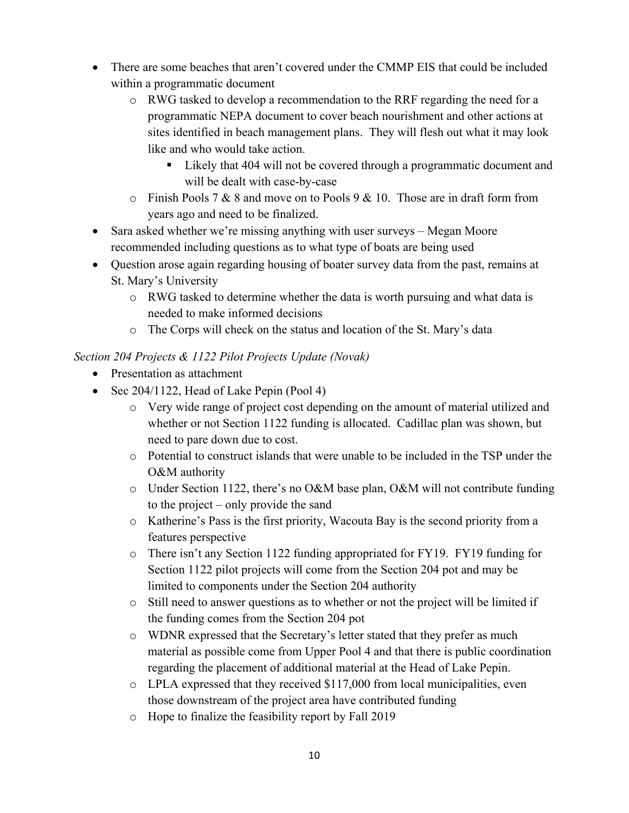- There are some beaches that aren't covered under the CMMP EIS that could be included within a programmatic document
	- o RWG tasked to develop a recommendation to the RRF regarding the need for a programmatic NEPA document to cover beach nourishment and other actions at sites identified in beach management plans. They will flesh out what it may look like and who would take action.
		- Likely that 404 will not be covered through a programmatic document and will be dealt with case-by-case
	- $\circ$  Finish Pools 7 & 8 and move on to Pools 9 & 10. Those are in draft form from years ago and need to be finalized.
- Sara asked whether we're missing anything with user surveys Megan Moore recommended including questions as to what type of boats are being used
- Question arose again regarding housing of boater survey data from the past, remains at St. Mary's University
	- $\circ$  RWG tasked to determine whether the data is worth pursuing and what data is needed to make informed decisions
	- o The Corps will check on the status and location of the St. Mary's data

## *Section 204 Projects & 1122 Pilot Projects Update (Novak)*

- Presentation as attachment
- Sec 204/1122, Head of Lake Pepin (Pool 4)
	- o Very wide range of project cost depending on the amount of material utilized and whether or not Section 1122 funding is allocated. Cadillac plan was shown, but need to pare down due to cost.
	- o Potential to construct islands that were unable to be included in the TSP under the O&M authority
	- o Under Section 1122, there's no O&M base plan, O&M will not contribute funding to the project – only provide the sand
	- o Katherine's Pass is the first priority, Wacouta Bay is the second priority from a features perspective
	- o There isn't any Section 1122 funding appropriated for FY19. FY19 funding for Section 1122 pilot projects will come from the Section 204 pot and may be limited to components under the Section 204 authority
	- o Still need to answer questions as to whether or not the project will be limited if the funding comes from the Section 204 pot
	- o WDNR expressed that the Secretary's letter stated that they prefer as much material as possible come from Upper Pool 4 and that there is public coordination regarding the placement of additional material at the Head of Lake Pepin.
	- $\circ$  LPLA expressed that they received \$117,000 from local municipalities, even those downstream of the project area have contributed funding
	- o Hope to finalize the feasibility report by Fall 2019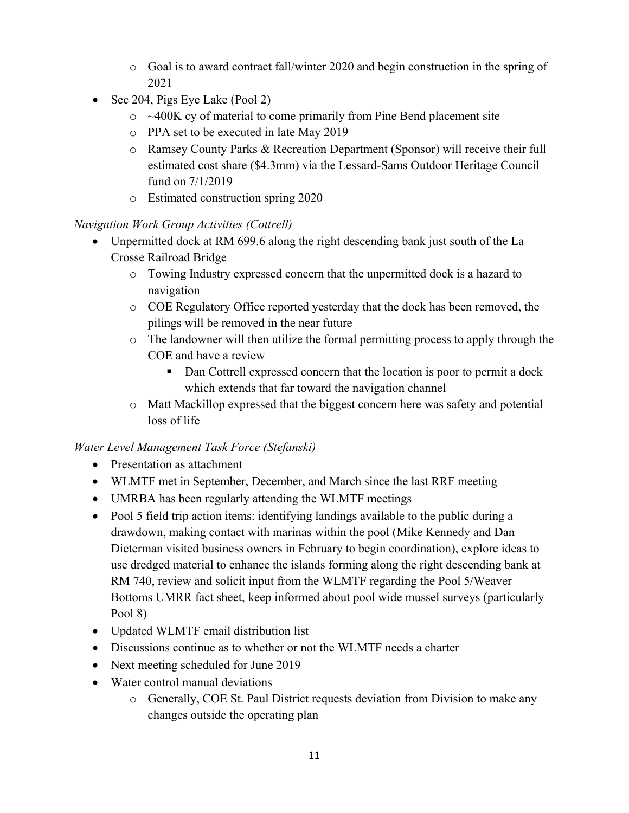- o Goal is to award contract fall/winter 2020 and begin construction in the spring of 2021
- Sec 204, Pigs Eye Lake  $(Pool 2)$ 
	- $\circ$  ~400K cy of material to come primarily from Pine Bend placement site
	- o PPA set to be executed in late May 2019
	- o Ramsey County Parks & Recreation Department (Sponsor) will receive their full estimated cost share (\$4.3mm) via the Lessard-Sams Outdoor Heritage Council fund on 7/1/2019
	- o Estimated construction spring 2020

## *Navigation Work Group Activities (Cottrell)*

- Unpermitted dock at RM 699.6 along the right descending bank just south of the La Crosse Railroad Bridge
	- o Towing Industry expressed concern that the unpermitted dock is a hazard to navigation
	- o COE Regulatory Office reported yesterday that the dock has been removed, the pilings will be removed in the near future
	- o The landowner will then utilize the formal permitting process to apply through the COE and have a review
		- Dan Cottrell expressed concern that the location is poor to permit a dock which extends that far toward the navigation channel
	- o Matt Mackillop expressed that the biggest concern here was safety and potential loss of life

## *Water Level Management Task Force (Stefanski)*

- Presentation as attachment
- WLMTF met in September, December, and March since the last RRF meeting
- UMRBA has been regularly attending the WLMTF meetings
- Pool 5 field trip action items: identifying landings available to the public during a drawdown, making contact with marinas within the pool (Mike Kennedy and Dan Dieterman visited business owners in February to begin coordination), explore ideas to use dredged material to enhance the islands forming along the right descending bank at RM 740, review and solicit input from the WLMTF regarding the Pool 5/Weaver Bottoms UMRR fact sheet, keep informed about pool wide mussel surveys (particularly Pool 8)
- Updated WLMTF email distribution list
- Discussions continue as to whether or not the WLMTF needs a charter
- Next meeting scheduled for June 2019
- Water control manual deviations
	- o Generally, COE St. Paul District requests deviation from Division to make any changes outside the operating plan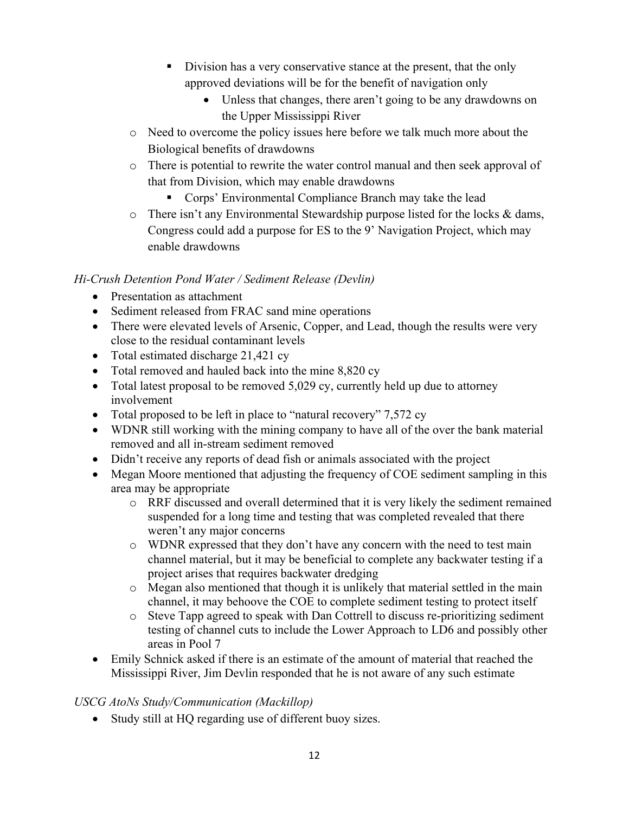- Division has a very conservative stance at the present, that the only approved deviations will be for the benefit of navigation only
	- Unless that changes, there aren't going to be any drawdowns on the Upper Mississippi River
- o Need to overcome the policy issues here before we talk much more about the Biological benefits of drawdowns
- o There is potential to rewrite the water control manual and then seek approval of that from Division, which may enable drawdowns
	- **Corps' Environmental Compliance Branch may take the lead**
- o There isn't any Environmental Stewardship purpose listed for the locks & dams, Congress could add a purpose for ES to the 9' Navigation Project, which may enable drawdowns

### *Hi-Crush Detention Pond Water / Sediment Release (Devlin)*

- Presentation as attachment
- Sediment released from FRAC sand mine operations
- There were elevated levels of Arsenic, Copper, and Lead, though the results were very close to the residual contaminant levels
- Total estimated discharge 21,421 cy
- Total removed and hauled back into the mine 8,820 cy
- Total latest proposal to be removed 5,029 cy, currently held up due to attorney involvement
- Total proposed to be left in place to "natural recovery" 7,572 cy
- WDNR still working with the mining company to have all of the over the bank material removed and all in-stream sediment removed
- Didn't receive any reports of dead fish or animals associated with the project
- Megan Moore mentioned that adjusting the frequency of COE sediment sampling in this area may be appropriate
	- o RRF discussed and overall determined that it is very likely the sediment remained suspended for a long time and testing that was completed revealed that there weren't any major concerns
	- o WDNR expressed that they don't have any concern with the need to test main channel material, but it may be beneficial to complete any backwater testing if a project arises that requires backwater dredging
	- o Megan also mentioned that though it is unlikely that material settled in the main channel, it may behoove the COE to complete sediment testing to protect itself
	- o Steve Tapp agreed to speak with Dan Cottrell to discuss re-prioritizing sediment testing of channel cuts to include the Lower Approach to LD6 and possibly other areas in Pool 7
- Emily Schnick asked if there is an estimate of the amount of material that reached the Mississippi River, Jim Devlin responded that he is not aware of any such estimate

### *USCG AtoNs Study/Communication (Mackillop)*

Study still at HQ regarding use of different buoy sizes.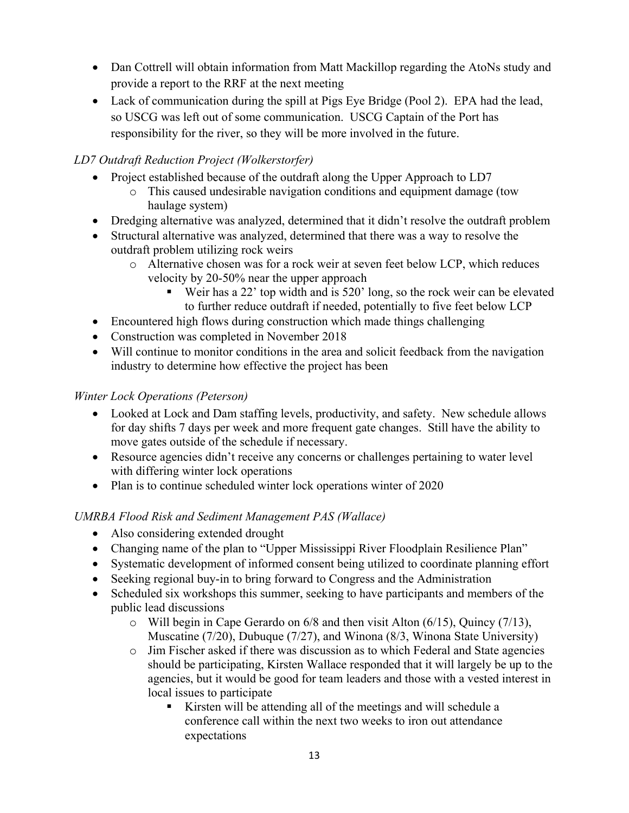- Dan Cottrell will obtain information from Matt Mackillop regarding the AtoNs study and provide a report to the RRF at the next meeting
- Lack of communication during the spill at Pigs Eye Bridge (Pool 2). EPA had the lead, so USCG was left out of some communication. USCG Captain of the Port has responsibility for the river, so they will be more involved in the future.

### *LD7 Outdraft Reduction Project (Wolkerstorfer)*

- Project established because of the outdraft along the Upper Approach to LD7
	- o This caused undesirable navigation conditions and equipment damage (tow haulage system)
- Dredging alternative was analyzed, determined that it didn't resolve the outdraft problem
- Structural alternative was analyzed, determined that there was a way to resolve the outdraft problem utilizing rock weirs
	- o Alternative chosen was for a rock weir at seven feet below LCP, which reduces velocity by 20-50% near the upper approach
		- Weir has a 22' top width and is 520' long, so the rock weir can be elevated to further reduce outdraft if needed, potentially to five feet below LCP
- Encountered high flows during construction which made things challenging
- Construction was completed in November 2018
- Will continue to monitor conditions in the area and solicit feedback from the navigation industry to determine how effective the project has been

### *Winter Lock Operations (Peterson)*

- Looked at Lock and Dam staffing levels, productivity, and safety. New schedule allows for day shifts 7 days per week and more frequent gate changes. Still have the ability to move gates outside of the schedule if necessary.
- Resource agencies didn't receive any concerns or challenges pertaining to water level with differing winter lock operations
- Plan is to continue scheduled winter lock operations winter of 2020

### *UMRBA Flood Risk and Sediment Management PAS (Wallace)*

- Also considering extended drought
- Changing name of the plan to "Upper Mississippi River Floodplain Resilience Plan"
- Systematic development of informed consent being utilized to coordinate planning effort
- Seeking regional buy-in to bring forward to Congress and the Administration
- Scheduled six workshops this summer, seeking to have participants and members of the public lead discussions
	- o Will begin in Cape Gerardo on 6/8 and then visit Alton (6/15), Quincy (7/13), Muscatine (7/20), Dubuque (7/27), and Winona (8/3, Winona State University)
	- o Jim Fischer asked if there was discussion as to which Federal and State agencies should be participating, Kirsten Wallace responded that it will largely be up to the agencies, but it would be good for team leaders and those with a vested interest in local issues to participate
		- Kirsten will be attending all of the meetings and will schedule a conference call within the next two weeks to iron out attendance expectations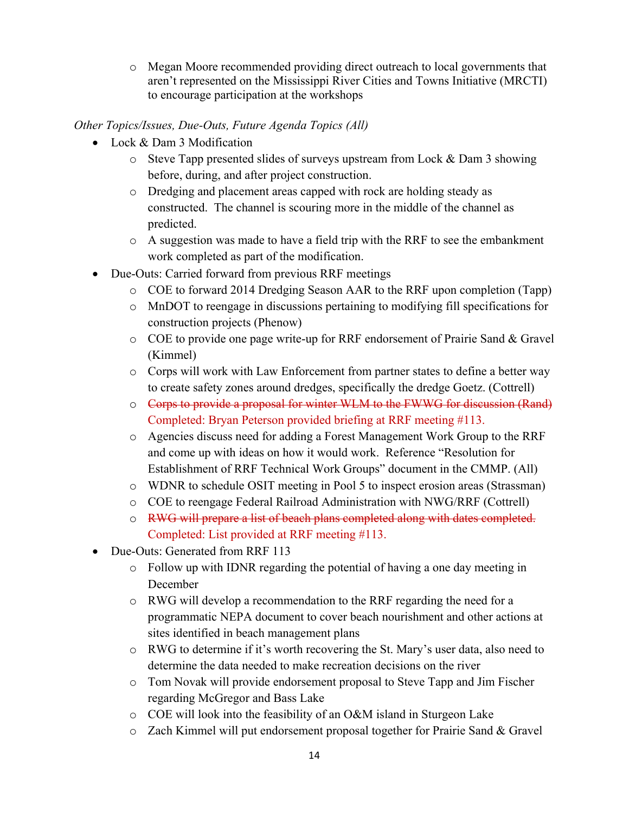o Megan Moore recommended providing direct outreach to local governments that aren't represented on the Mississippi River Cities and Towns Initiative (MRCTI) to encourage participation at the workshops

### *Other Topics/Issues, Due-Outs, Future Agenda Topics (All)*

- Lock & Dam 3 Modification
	- $\circ$  Steve Tapp presented slides of surveys upstream from Lock & Dam 3 showing before, during, and after project construction.
	- o Dredging and placement areas capped with rock are holding steady as constructed. The channel is scouring more in the middle of the channel as predicted.
	- o A suggestion was made to have a field trip with the RRF to see the embankment work completed as part of the modification.
- Due-Outs: Carried forward from previous RRF meetings
	- o COE to forward 2014 Dredging Season AAR to the RRF upon completion (Tapp)
	- o MnDOT to reengage in discussions pertaining to modifying fill specifications for construction projects (Phenow)
	- o COE to provide one page write-up for RRF endorsement of Prairie Sand & Gravel (Kimmel)
	- o Corps will work with Law Enforcement from partner states to define a better way to create safety zones around dredges, specifically the dredge Goetz. (Cottrell)
	- o Corps to provide a proposal for winter WLM to the FWWG for discussion (Rand) Completed: Bryan Peterson provided briefing at RRF meeting #113.
	- o Agencies discuss need for adding a Forest Management Work Group to the RRF and come up with ideas on how it would work. Reference "Resolution for Establishment of RRF Technical Work Groups" document in the CMMP. (All)
	- o WDNR to schedule OSIT meeting in Pool 5 to inspect erosion areas (Strassman)
	- o COE to reengage Federal Railroad Administration with NWG/RRF (Cottrell)
	- o RWG will prepare a list of beach plans completed along with dates completed. Completed: List provided at RRF meeting #113.
- Due-Outs: Generated from RRF 113
	- o Follow up with IDNR regarding the potential of having a one day meeting in December
	- o RWG will develop a recommendation to the RRF regarding the need for a programmatic NEPA document to cover beach nourishment and other actions at sites identified in beach management plans
	- o RWG to determine if it's worth recovering the St. Mary's user data, also need to determine the data needed to make recreation decisions on the river
	- o Tom Novak will provide endorsement proposal to Steve Tapp and Jim Fischer regarding McGregor and Bass Lake
	- o COE will look into the feasibility of an O&M island in Sturgeon Lake
	- o Zach Kimmel will put endorsement proposal together for Prairie Sand & Gravel